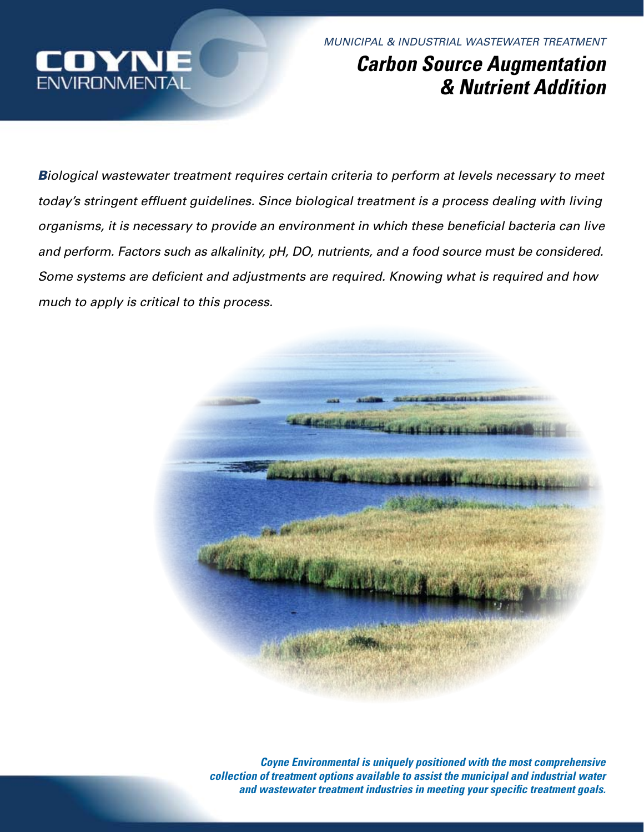

*MUNICIPAL & INDUSTRIAL WASTEWATER TREATMENT*

# *Carbon Source Augmentation & Nutrient Addition*

*Biological wastewater treatment requires certain criteria to perform at levels necessary to meet today's stringent effluent guidelines. Since biological treatment is a process dealing with living organisms, it is necessary to provide an environment in which these beneficial bacteria can live and perform. Factors such as alkalinity, pH, DO, nutrients, and a food source must be considered. Some systems are deficient and adjustments are required. Knowing what is required and how much to apply is critical to this process.* 



*Coyne Environmental is uniquely positioned with the most comprehensive collection of treatment options available to assist the municipal and industrial water and wastewater treatment industries in meeting your specific treatment goals.*